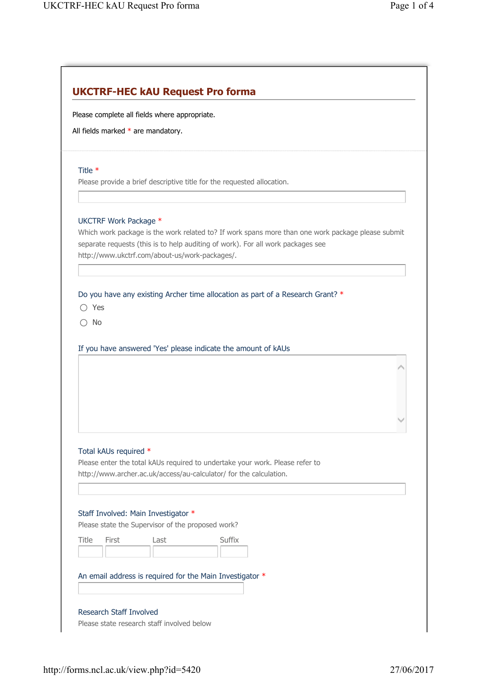| Please complete all fields where appropriate. |                       |                                                   |                                                                                                                                                                                      |  |  |  |
|-----------------------------------------------|-----------------------|---------------------------------------------------|--------------------------------------------------------------------------------------------------------------------------------------------------------------------------------------|--|--|--|
| All fields marked $*$ are mandatory.          |                       |                                                   |                                                                                                                                                                                      |  |  |  |
| Title *                                       |                       |                                                   |                                                                                                                                                                                      |  |  |  |
|                                               |                       |                                                   | Please provide a brief descriptive title for the requested allocation.                                                                                                               |  |  |  |
|                                               |                       |                                                   |                                                                                                                                                                                      |  |  |  |
|                                               | UKCTRF Work Package * | http://www.ukctrf.com/about-us/work-packages/.    | Which work package is the work related to? If work spans more than one work package please submit<br>separate requests (this is to help auditing of work). For all work packages see |  |  |  |
| $\bigcirc$ Yes                                |                       |                                                   | Do you have any existing Archer time allocation as part of a Research Grant? *                                                                                                       |  |  |  |
|                                               |                       |                                                   |                                                                                                                                                                                      |  |  |  |
| No                                            |                       |                                                   |                                                                                                                                                                                      |  |  |  |
|                                               |                       |                                                   |                                                                                                                                                                                      |  |  |  |
|                                               |                       |                                                   | If you have answered 'Yes' please indicate the amount of kAUs                                                                                                                        |  |  |  |
|                                               |                       |                                                   |                                                                                                                                                                                      |  |  |  |
|                                               |                       |                                                   |                                                                                                                                                                                      |  |  |  |
|                                               |                       |                                                   |                                                                                                                                                                                      |  |  |  |
|                                               |                       |                                                   |                                                                                                                                                                                      |  |  |  |
|                                               |                       |                                                   |                                                                                                                                                                                      |  |  |  |
|                                               |                       |                                                   |                                                                                                                                                                                      |  |  |  |
|                                               |                       |                                                   |                                                                                                                                                                                      |  |  |  |
|                                               | Total kAUs required * |                                                   |                                                                                                                                                                                      |  |  |  |
|                                               |                       |                                                   | Please enter the total kAUs required to undertake your work. Please refer to<br>http://www.archer.ac.uk/access/au-calculator/ for the calculation.                                   |  |  |  |
|                                               |                       |                                                   |                                                                                                                                                                                      |  |  |  |
|                                               |                       |                                                   |                                                                                                                                                                                      |  |  |  |
|                                               |                       | Staff Involved: Main Investigator *               |                                                                                                                                                                                      |  |  |  |
|                                               |                       | Please state the Supervisor of the proposed work? |                                                                                                                                                                                      |  |  |  |
| Title                                         | First                 | Last                                              | Suffix                                                                                                                                                                               |  |  |  |
|                                               |                       |                                                   |                                                                                                                                                                                      |  |  |  |
|                                               |                       |                                                   | An email address is required for the Main Investigator *                                                                                                                             |  |  |  |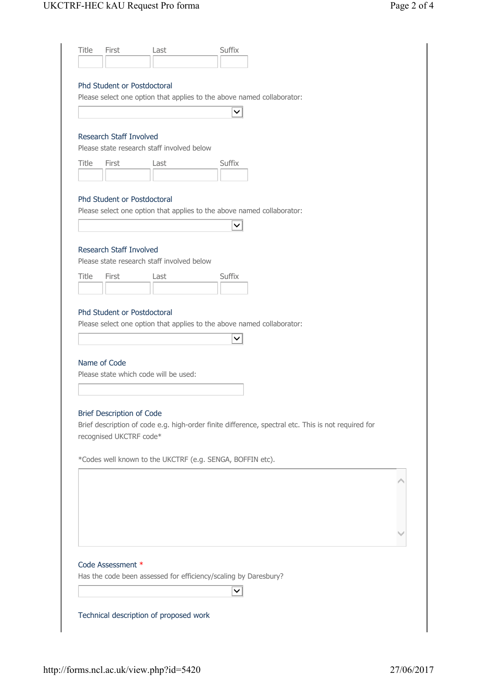| <b>Title</b> | First                            | Last                                       | Suffix                                                                                              |
|--------------|----------------------------------|--------------------------------------------|-----------------------------------------------------------------------------------------------------|
|              |                                  |                                            |                                                                                                     |
|              | Phd Student or Postdoctoral      |                                            |                                                                                                     |
|              |                                  |                                            | Please select one option that applies to the above named collaborator:                              |
|              |                                  |                                            | $\checkmark$                                                                                        |
|              |                                  |                                            |                                                                                                     |
|              | Research Staff Involved          |                                            |                                                                                                     |
|              |                                  | Please state research staff involved below |                                                                                                     |
| Title        | First                            | Last                                       | Suffix                                                                                              |
|              |                                  |                                            |                                                                                                     |
|              | Phd Student or Postdoctoral      |                                            |                                                                                                     |
|              |                                  |                                            | Please select one option that applies to the above named collaborator:                              |
|              |                                  |                                            | $\checkmark$                                                                                        |
|              |                                  |                                            |                                                                                                     |
|              | Research Staff Involved          |                                            |                                                                                                     |
|              |                                  | Please state research staff involved below |                                                                                                     |
| Title        | First                            | Last                                       | Suffix                                                                                              |
|              |                                  |                                            |                                                                                                     |
|              |                                  |                                            |                                                                                                     |
|              | Phd Student or Postdoctoral      |                                            |                                                                                                     |
|              |                                  |                                            | Please select one option that applies to the above named collaborator:                              |
|              |                                  |                                            | ∨                                                                                                   |
|              | Name of Code                     |                                            |                                                                                                     |
|              |                                  | Please state which code will be used:      |                                                                                                     |
|              |                                  |                                            |                                                                                                     |
|              |                                  |                                            |                                                                                                     |
|              | <b>Brief Description of Code</b> |                                            |                                                                                                     |
|              |                                  |                                            | Brief description of code e.g. high-order finite difference, spectral etc. This is not required for |
|              | recognised UKCTRF code*          |                                            |                                                                                                     |
|              |                                  |                                            |                                                                                                     |
|              |                                  |                                            | *Codes well known to the UKCTRF (e.g. SENGA, BOFFIN etc).                                           |
|              |                                  |                                            |                                                                                                     |
|              |                                  |                                            |                                                                                                     |
|              |                                  |                                            |                                                                                                     |
|              |                                  |                                            |                                                                                                     |
|              |                                  |                                            |                                                                                                     |
|              |                                  |                                            |                                                                                                     |
|              | Code Assessment *                |                                            |                                                                                                     |
|              |                                  |                                            | Has the code been assessed for efficiency/scaling by Daresbury?                                     |
|              |                                  |                                            |                                                                                                     |
|              |                                  |                                            |                                                                                                     |
|              |                                  | Technical description of proposed work     |                                                                                                     |
|              |                                  |                                            |                                                                                                     |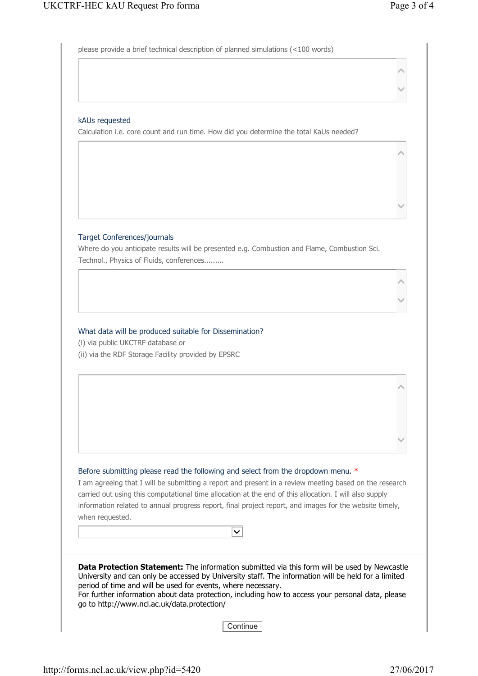$\hat{\phantom{a}}$ 

 $\checkmark$ 

 $\hat{\phantom{a}}$ 

 $\checkmark$ 

 $\hat{\phantom{a}}$ 

 $\checkmark$ 

 $\hat{\phantom{a}}$ 

 $\checkmark$ 

please provide a brief technical description of planned simulations (<100 words)

## kAUs requested

Calculation i.e. core count and run time. How did you determine the total KaUs needed?

## Target Conferences/journals

Where do you anticipate results will be presented e.g. Combustion and Flame, Combustion Sci. Technol., Physics of Fluids, conferences.........

## What data will be produced suitable for Dissemination?

(i) via public UKCTRF database or (ii) via the RDF Storage Facility provided by EPSRC

|  |  |  |  |  | Before submitting please read the following and select from the dropdown menu. * |  |
|--|--|--|--|--|----------------------------------------------------------------------------------|--|
|  |  |  |  |  |                                                                                  |  |

I am agreeing that I will be submitting a report and present in a review meeting based on the research carried out using this computational time allocation at the end of this allocation. I will also supply information related to annual progress report, final project report, and images for the website timely, when requested.

| $\checkmark$                                                                                                                                                                                                                                                                                                                                                                                                                   |
|--------------------------------------------------------------------------------------------------------------------------------------------------------------------------------------------------------------------------------------------------------------------------------------------------------------------------------------------------------------------------------------------------------------------------------|
| <b>Data Protection Statement:</b> The information submitted via this form will be used by Newcastle<br>University and can only be accessed by University staff. The information will be held for a limited<br>period of time and will be used for events, where necessary.<br>For further information about data protection, including how to access your personal data, please<br>go to http://www.ncl.ac.uk/data.protection/ |
|                                                                                                                                                                                                                                                                                                                                                                                                                                |